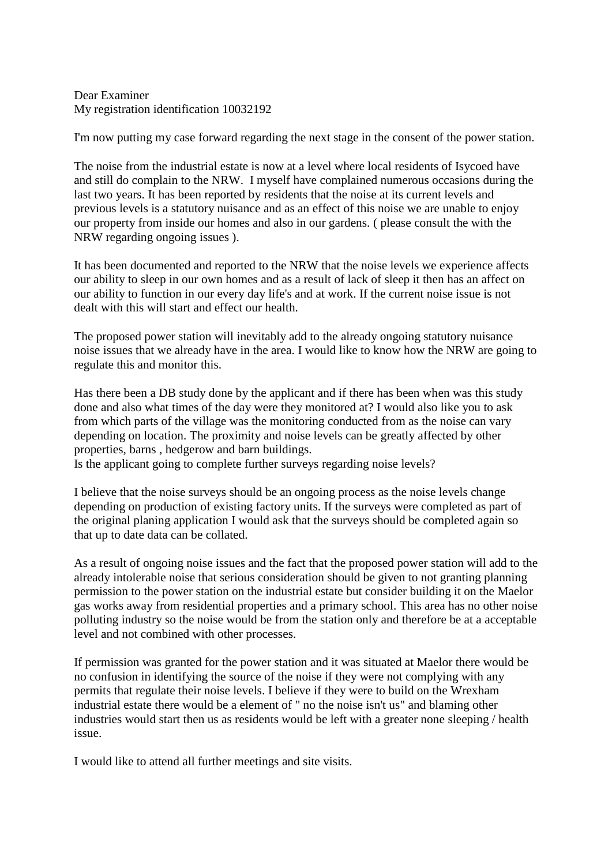Dear Examiner My registration identification 10032192

I'm now putting my case forward regarding the next stage in the consent of the power station.

The noise from the industrial estate is now at a level where local residents of Isycoed have and still do complain to the NRW. I myself have complained numerous occasions during the last two years. It has been reported by residents that the noise at its current levels and previous levels is a statutory nuisance and as an effect of this noise we are unable to enjoy our property from inside our homes and also in our gardens. ( please consult the with the NRW regarding ongoing issues ).

It has been documented and reported to the NRW that the noise levels we experience affects our ability to sleep in our own homes and as a result of lack of sleep it then has an affect on our ability to function in our every day life's and at work. If the current noise issue is not dealt with this will start and effect our health.

The proposed power station will inevitably add to the already ongoing statutory nuisance noise issues that we already have in the area. I would like to know how the NRW are going to regulate this and monitor this.

Has there been a DB study done by the applicant and if there has been when was this study done and also what times of the day were they monitored at? I would also like you to ask from which parts of the village was the monitoring conducted from as the noise can vary depending on location. The proximity and noise levels can be greatly affected by other properties, barns , hedgerow and barn buildings.

Is the applicant going to complete further surveys regarding noise levels?

I believe that the noise surveys should be an ongoing process as the noise levels change depending on production of existing factory units. If the surveys were completed as part of the original planing application I would ask that the surveys should be completed again so that up to date data can be collated.

As a result of ongoing noise issues and the fact that the proposed power station will add to the already intolerable noise that serious consideration should be given to not granting planning permission to the power station on the industrial estate but consider building it on the Maelor gas works away from residential properties and a primary school. This area has no other noise polluting industry so the noise would be from the station only and therefore be at a acceptable level and not combined with other processes.

If permission was granted for the power station and it was situated at Maelor there would be no confusion in identifying the source of the noise if they were not complying with any permits that regulate their noise levels. I believe if they were to build on the Wrexham industrial estate there would be a element of " no the noise isn't us" and blaming other industries would start then us as residents would be left with a greater none sleeping / health issue.

I would like to attend all further meetings and site visits.